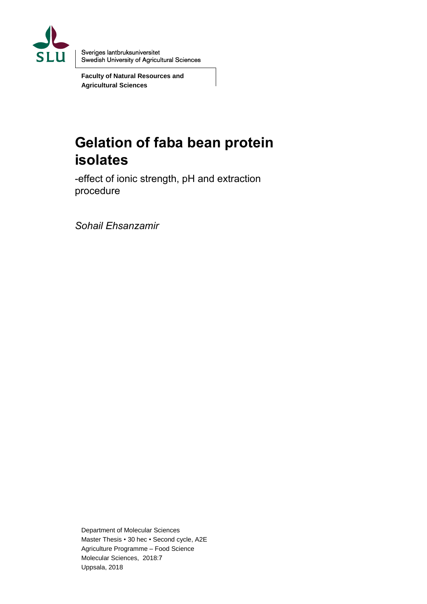

Sveriges lantbruksuniversitet **Swedish University of Agricultural Sciences** 

**Faculty of Natural Resources and Agricultural Sciences**

# **Gelation of faba bean protein isolates**

-effect of ionic strength, pH and extraction procedure

*Sohail Ehsanzamir*

Department of Molecular Sciences Master Thesis • 30 hec • Second cycle, A2E Agriculture Programme – Food Science Molecular Sciences, 2018:7 Uppsala, 2018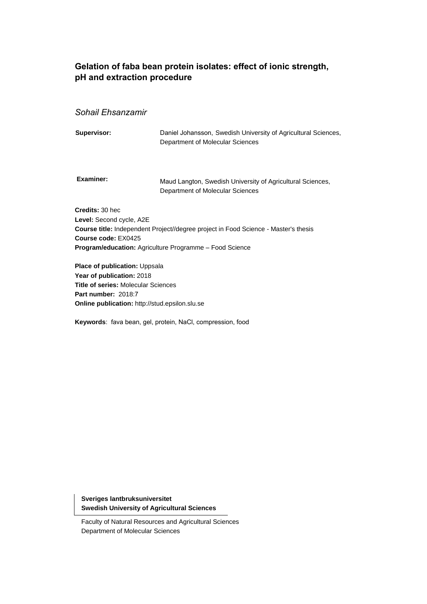### **Gelation of faba bean protein isolates: effect of ionic strength, pH and extraction procedure**

### *Sohail Ehsanzamir*

| Supervisor:                                                        | Daniel Johansson, Swedish University of Agricultural Sciences,<br>Department of Molecular Sciences                                                           |
|--------------------------------------------------------------------|--------------------------------------------------------------------------------------------------------------------------------------------------------------|
| Examiner:                                                          | Maud Langton, Swedish University of Agricultural Sciences,<br>Department of Molecular Sciences                                                               |
| Credits: 30 hec<br>Level: Second cycle, A2E<br>Course code: EX0425 | <b>Course title:</b> Independent Project//degree project in Food Science - Master's thesis<br><b>Program/education:</b> Agriculture Programme - Food Science |
|                                                                    |                                                                                                                                                              |

**Place of publication: Uppsala Year of publication:** 2018 **Title of series:** Molecular Sciences **Part number:** 2018:7 **Online publication:** http://stud.epsilon.slu.se

**Keywords**: fava bean, gel, protein, NaCl, compression, food

**Sveriges lantbruksuniversitet Swedish University of Agricultural Sciences**

Faculty of Natural Resources and Agricultural Sciences Department of Molecular Sciences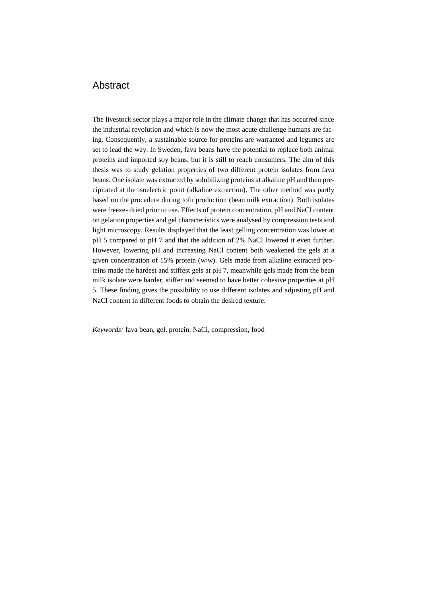### Abstract

The livestock sector plays a major role in the climate change that has occurred since the industrial revolution and which is now the most acute challenge humans are facing. Consequently, a sustainable source for proteins are warranted and legumes are set to lead the way. In Sweden, fava beans have the potential to replace both animal proteins and imported soy beans, but it is still to reach consumers. The aim of this thesis was to study gelation properties of two different protein isolates from fava beans. One isolate was extracted by solubilizing proteins at alkaline pH and then precipitated at the isoelectric point (alkaline extraction). The other method was partly based on the procedure during tofu production (bean milk extraction). Both isolates were freeze- dried prior to use. Effects of protein concentration, pH and NaCl content on gelation properties and gel characteristics were analysed by compression tests and light microscopy. Results displayed that the least gelling concentration was lower at pH 5 compared to pH 7 and that the addition of 2% NaCl lowered it even further. However, lowering pH and increasing NaCl content both weakened the gels at a given concentration of 15% protein (w/w). Gels made from alkaline extracted proteins made the hardest and stiffest gels at pH 7, meanwhile gels made from the bean milk isolate were harder, stiffer and seemed to have better cohesive properties at pH 5. These finding gives the possibility to use different isolates and adjusting pH and NaCl content in different foods to obtain the desired texture.

*Keywords:* fava bean, gel, protein, NaCl, compression, food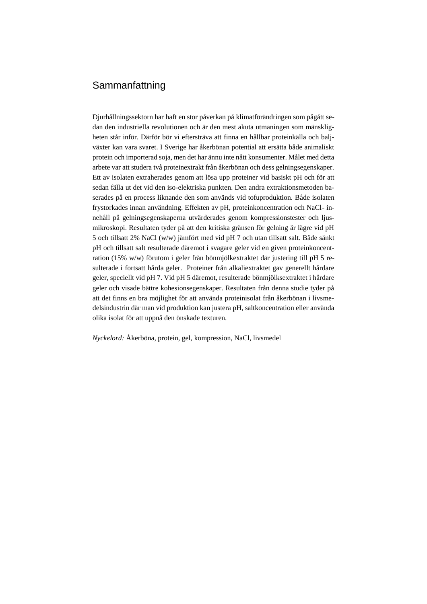### Sammanfattning

Djurhållningssektorn har haft en stor påverkan på klimatförändringen som pågått sedan den industriella revolutionen och är den mest akuta utmaningen som mänskligheten står inför. Därför bör vi eftersträva att finna en hållbar proteinkälla och baljväxter kan vara svaret. I Sverige har åkerbönan potential att ersätta både animaliskt protein och importerad soja, men det har ännu inte nått konsumenter. Målet med detta arbete var att studera två proteinextrakt från åkerbönan och dess gelningsegenskaper. Ett av isolaten extraherades genom att lösa upp proteiner vid basiskt pH och för att sedan fälla ut det vid den iso-elektriska punkten. Den andra extraktionsmetoden baserades på en process liknande den som används vid tofuproduktion. Både isolaten frystorkades innan användning. Effekten av pH, proteinkoncentration och NaCl- innehåll på gelningsegenskaperna utvärderades genom kompressionstester och ljusmikroskopi. Resultaten tyder på att den kritiska gränsen för gelning är lägre vid pH 5 och tillsatt 2% NaCl (w/w) jämfört med vid pH 7 och utan tillsatt salt. Både sänkt pH och tillsatt salt resulterade däremot i svagare geler vid en given proteinkoncentration (15% w/w) förutom i geler från bönmjölkextraktet där justering till pH 5 resulterade i fortsatt hårda geler. Proteiner från alkaliextraktet gav generellt hårdare geler, speciellt vid pH 7. Vid pH 5 däremot, resulterade bönmjölksextraktet i hårdare geler och visade bättre kohesionsegenskaper. Resultaten från denna studie tyder på att det finns en bra möjlighet för att använda proteinisolat från åkerbönan i livsmedelsindustrin där man vid produktion kan justera pH, saltkoncentration eller använda olika isolat för att uppnå den önskade texturen.

*Nyckelord:* Åkerböna, protein, gel, kompression, NaCl, livsmedel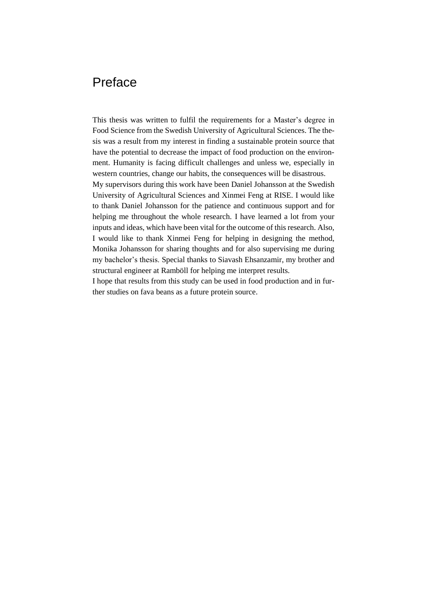## Preface

This thesis was written to fulfil the requirements for a Master's degree in Food Science from the Swedish University of Agricultural Sciences. The thesis was a result from my interest in finding a sustainable protein source that have the potential to decrease the impact of food production on the environment. Humanity is facing difficult challenges and unless we, especially in western countries, change our habits, the consequences will be disastrous. My supervisors during this work have been Daniel Johansson at the Swedish University of Agricultural Sciences and Xinmei Feng at RISE. I would like to thank Daniel Johansson for the patience and continuous support and for helping me throughout the whole research. I have learned a lot from your

inputs and ideas, which have been vital for the outcome of this research. Also, I would like to thank Xinmei Feng for helping in designing the method, Monika Johansson for sharing thoughts and for also supervising me during my bachelor's thesis. Special thanks to Siavash Ehsanzamir, my brother and structural engineer at Ramböll for helping me interpret results.

I hope that results from this study can be used in food production and in further studies on fava beans as a future protein source.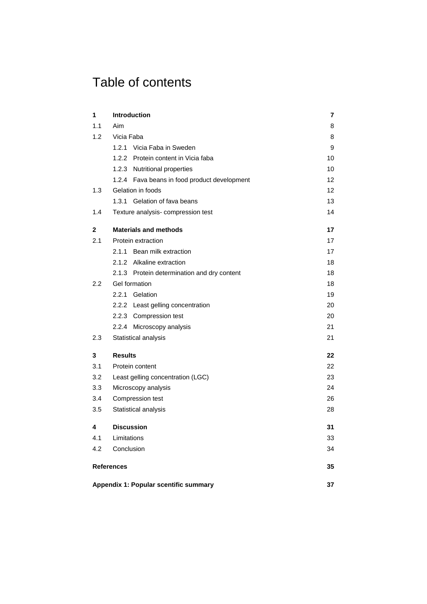# Table of contents

| 1             | <b>Introduction</b> | 7                                            |    |
|---------------|---------------------|----------------------------------------------|----|
| 1.1           | Aim                 |                                              | 8  |
| 1.2           | Vicia Faba          |                                              | 8  |
|               |                     | 1.2.1 Vicia Faba in Sweden                   | 9  |
|               |                     | 1.2.2 Protein content in Vicia faba          | 10 |
|               |                     | 1.2.3 Nutritional properties                 | 10 |
|               |                     | 1.2.4 Fava beans in food product development | 12 |
| 1.3           |                     | Gelation in foods                            | 12 |
|               |                     | 1.3.1 Gelation of fava beans                 | 13 |
| 1.4           |                     | Texture analysis-compression test            | 14 |
| 2             |                     | <b>Materials and methods</b>                 | 17 |
| 2.1           |                     | Protein extraction                           | 17 |
|               |                     | 2.1.1 Bean milk extraction                   | 17 |
|               |                     | 2.1.2 Alkaline extraction                    | 18 |
|               |                     | 2.1.3 Protein determination and dry content  | 18 |
| $2.2^{\circ}$ |                     | Gel formation                                | 18 |
|               | 2.2.1               | Gelation                                     | 19 |
|               |                     | 2.2.2 Least gelling concentration            | 20 |
|               |                     | 2.2.3 Compression test                       | 20 |
|               |                     | 2.2.4 Microscopy analysis                    | 21 |
| 2.3           |                     | Statistical analysis                         | 21 |
| 3             | <b>Results</b>      |                                              | 22 |
| 3.1           |                     | Protein content                              | 22 |
| 3.2           |                     | Least gelling concentration (LGC)            | 23 |
| 3.3           |                     | Microscopy analysis                          | 24 |
| 3.4           |                     | Compression test                             | 26 |
| 3.5           |                     | Statistical analysis                         | 28 |
| 4             |                     | <b>Discussion</b>                            | 31 |
| 4.1           | Limitations         |                                              | 33 |
| 4.2           | Conclusion          |                                              | 34 |
|               | <b>References</b>   |                                              | 35 |
|               |                     | Appendix 1: Popular scentific summary        | 37 |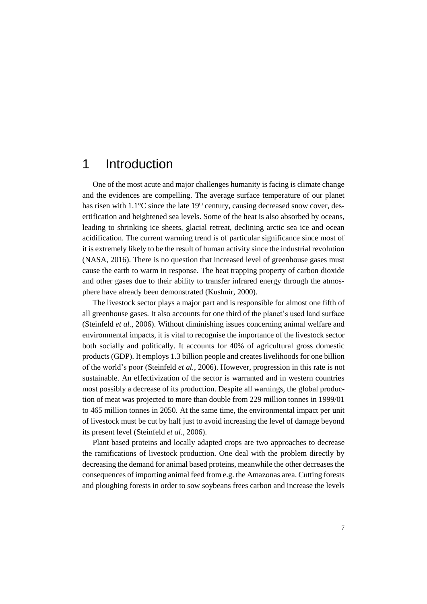## <span id="page-10-0"></span>1 Introduction

One of the most acute and major challenges humanity is facing is climate change and the evidences are compelling. The average surface temperature of our planet has risen with  $1.1^{\circ}$ C since the late 19<sup>th</sup> century, causing decreased snow cover, desertification and heightened sea levels. Some of the heat is also absorbed by oceans, leading to shrinking ice sheets, glacial retreat, declining arctic sea ice and ocean acidification. The current warming trend is of particular significance since most of it is extremely likely to be the result of human activity since the industrial revolution (NASA, 2016). There is no question that increased level of greenhouse gases must cause the earth to warm in response. The heat trapping property of carbon dioxide and other gases due to their ability to transfer infrared energy through the atmosphere have already been demonstrated (Kushnir, 2000).

The livestock sector plays a major part and is responsible for almost one fifth of all greenhouse gases. It also accounts for one third of the planet's used land surface (Steinfeld *et al.*, 2006). Without diminishing issues concerning animal welfare and environmental impacts, it is vital to recognise the importance of the livestock sector both socially and politically. It accounts for 40% of agricultural gross domestic products (GDP). It employs 1.3 billion people and creates livelihoods for one billion of the world's poor (Steinfeld *et al.*, 2006). However, progression in this rate is not sustainable. An effectivization of the sector is warranted and in western countries most possibly a decrease of its production. Despite all warnings, the global production of meat was projected to more than double from 229 million tonnes in 1999/01 to 465 million tonnes in 2050. At the same time, the environmental impact per unit of livestock must be cut by half just to avoid increasing the level of damage beyond its present level (Steinfeld *et al.*, 2006).

Plant based proteins and locally adapted crops are two approaches to decrease the ramifications of livestock production. One deal with the problem directly by decreasing the demand for animal based proteins, meanwhile the other decreases the consequences of importing animal feed from e.g. the Amazonas area. Cutting forests and ploughing forests in order to sow soybeans frees carbon and increase the levels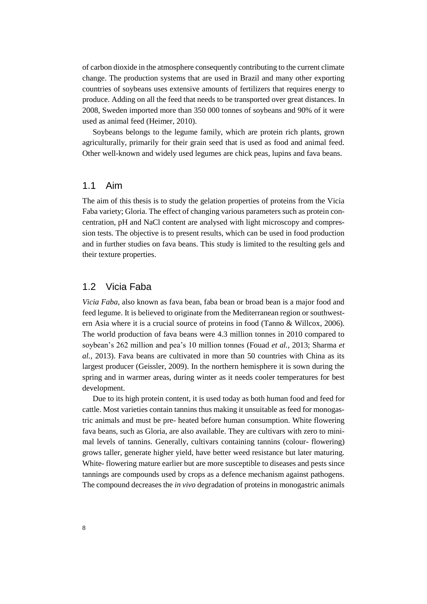of carbon dioxide in the atmosphere consequently contributing to the current climate change. The production systems that are used in Brazil and many other exporting countries of soybeans uses extensive amounts of fertilizers that requires energy to produce. Adding on all the feed that needs to be transported over great distances. In 2008, Sweden imported more than 350 000 tonnes of soybeans and 90% of it were used as animal feed (Heimer, 2010).

Soybeans belongs to the legume family, which are protein rich plants, grown agriculturally, primarily for their grain seed that is used as food and animal feed. Other well-known and widely used legumes are chick peas, lupins and fava beans.

### <span id="page-11-0"></span>1.1 Aim

The aim of this thesis is to study the gelation properties of proteins from the Vicia Faba variety; Gloria. The effect of changing various parameters such as protein concentration, pH and NaCl content are analysed with light microscopy and compression tests. The objective is to present results, which can be used in food production and in further studies on fava beans. This study is limited to the resulting gels and their texture properties.

### <span id="page-11-1"></span>1.2 Vicia Faba

*Vicia Faba*, also known as fava bean, faba bean or broad bean is a major food and feed legume. It is believed to originate from the Mediterranean region or southwestern Asia where it is a crucial source of proteins in food (Tanno & Willcox, 2006). The world production of fava beans were 4.3 million tonnes in 2010 compared to soybean's 262 million and pea's 10 million tonnes (Fouad *et al.*, 2013; Sharma *et al.*, 2013). Fava beans are cultivated in more than 50 countries with China as its largest producer (Geissler, 2009). In the northern hemisphere it is sown during the spring and in warmer areas, during winter as it needs cooler temperatures for best development.

Due to its high protein content, it is used today as both human food and feed for cattle. Most varieties contain tannins thus making it unsuitable as feed for monogastric animals and must be pre- heated before human consumption. White flowering fava beans, such as Gloria, are also available. They are cultivars with zero to minimal levels of tannins. Generally, cultivars containing tannins (colour- flowering) grows taller, generate higher yield, have better weed resistance but later maturing. White- flowering mature earlier but are more susceptible to diseases and pests since tannings are compounds used by crops as a defence mechanism against pathogens. The compound decreases the *in vivo* degradation of proteins in monogastric animals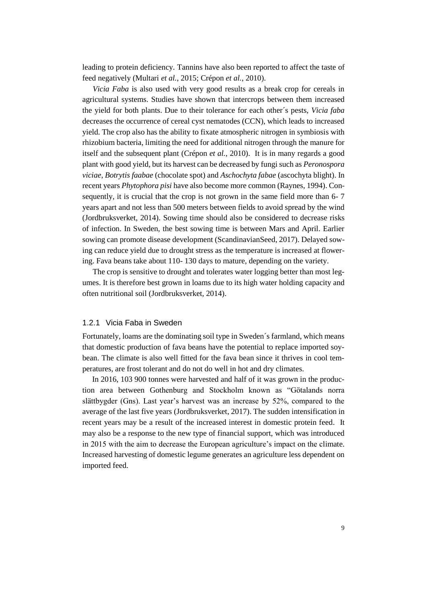leading to protein deficiency. Tannins have also been reported to affect the taste of feed negatively (Multari *et al.*, 2015; Crépon *et al.*, 2010).

*Vicia Faba* is also used with very good results as a break crop for cereals in agricultural systems. Studies have shown that intercrops between them increased the yield for both plants. Due to their tolerance for each other´s pests, *Vicia faba* decreases the occurrence of cereal cyst nematodes (CCN), which leads to increased yield. The crop also has the ability to fixate atmospheric nitrogen in symbiosis with rhizobium bacteria, limiting the need for additional nitrogen through the manure for itself and the subsequent plant (Crépon *et al.*, 2010). It is in many regards a good plant with good yield, but its harvest can be decreased by fungi such as *Peronospora viciae*, *Botrytis faabae* (chocolate spot) and *Aschochyta fabae* (ascochyta blight). In recent years *Phytophora pisi* have also become more common (Raynes, 1994). Consequently, it is crucial that the crop is not grown in the same field more than 6- 7 years apart and not less than 500 meters between fields to avoid spread by the wind (Jordbruksverket, 2014). Sowing time should also be considered to decrease risks of infection. In Sweden, the best sowing time is between Mars and April. Earlier sowing can promote disease development (ScandinavianSeed, 2017). Delayed sowing can reduce yield due to drought stress as the temperature is increased at flowering. Fava beans take about 110- 130 days to mature, depending on the variety.

The crop is sensitive to drought and tolerates water logging better than most legumes. It is therefore best grown in loams due to its high water holding capacity and often nutritional soil (Jordbruksverket, 2014).

#### <span id="page-12-0"></span>1.2.1 Vicia Faba in Sweden

Fortunately, loams are the dominating soil type in Sweden´s farmland, which means that domestic production of fava beans have the potential to replace imported soybean. The climate is also well fitted for the fava bean since it thrives in cool temperatures, are frost tolerant and do not do well in hot and dry climates.

 In 2016, 103 900 tonnes were harvested and half of it was grown in the production area between Gothenburg and Stockholm known as "Götalands norra slättbygder (Gns). Last year's harvest was an increase by 52%, compared to the average of the last five years (Jordbruksverket, 2017). The sudden intensification in recent years may be a result of the increased interest in domestic protein feed. It may also be a response to the new type of financial support, which was introduced in 2015 with the aim to decrease the European agriculture's impact on the climate. Increased harvesting of domestic legume generates an agriculture less dependent on imported feed.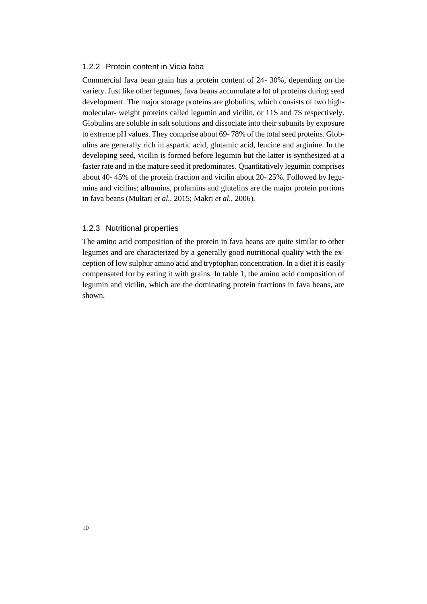#### <span id="page-13-0"></span>1.2.2 Protein content in Vicia faba

Commercial fava bean grain has a protein content of 24- 30%, depending on the variety. Just like other legumes, fava beans accumulate a lot of proteins during seed development. The major storage proteins are globulins, which consists of two highmolecular- weight proteins called legumin and vicilin, or 11S and 7S respectively. Globulins are soluble in salt solutions and dissociate into their subunits by exposure to extreme pH values. They comprise about 69- 78% of the total seed proteins. Globulins are generally rich in aspartic acid, glutamic acid, leucine and arginine. In the developing seed, vicilin is formed before legumin but the latter is synthesized at a faster rate and in the mature seed it predominates. Quantitatively legumin comprises about 40- 45% of the protein fraction and vicilin about 20- 25%. Followed by legumins and vicilins; albumins, prolamins and glutelins are the major protein portions in fava beans (Multari *et al.*, 2015; Makri *et al.*, 2006).

#### <span id="page-13-1"></span>1.2.3 Nutritional properties

The amino acid composition of the protein in fava beans are quite similar to other legumes and are characterized by a generally good nutritional quality with the exception of low sulphur amino acid and tryptophan concentration. In a diet it is easily compensated for by eating it with grains. In table 1, the amino acid composition of legumin and vicilin, which are the dominating protein fractions in fava beans, are shown.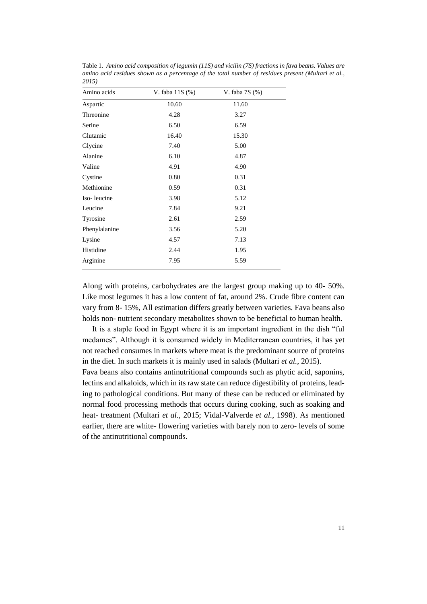| Amino acids   | V. faba 11S (%) | V. faba $7S(%)$ |
|---------------|-----------------|-----------------|
| Aspartic      | 10.60           | 11.60           |
| Threonine     | 4.28            | 3.27            |
| Serine        | 6.50            | 6.59            |
| Glutamic      | 16.40           | 15.30           |
| Glycine       | 7.40            | 5.00            |
| Alanine       | 6.10            | 4.87            |
| Valine        | 4.91            | 4.90            |
| Cystine       | 0.80            | 0.31            |
| Methionine    | 0.59            | 0.31            |
| Iso-leucine   | 3.98            | 5.12            |
| Leucine       | 7.84            | 9.21            |
| Tyrosine      | 2.61            | 2.59            |
| Phenylalanine | 3.56            | 5.20            |
| Lysine        | 4.57            | 7.13            |
| Histidine     | 2.44            | 1.95            |
| Arginine      | 7.95            | 5.59            |
|               |                 |                 |

Table 1. *Amino acid composition of legumin (11S) and vicilin (7S) fractions in fava beans. Values are amino acid residues shown as a percentage of the total number of residues present (Multari et al., 2015)*

Along with proteins, carbohydrates are the largest group making up to 40- 50%. Like most legumes it has a low content of fat, around 2%. Crude fibre content can vary from 8- 15%, All estimation differs greatly between varieties. Fava beans also holds non- nutrient secondary metabolites shown to be beneficial to human health.

 It is a staple food in Egypt where it is an important ingredient in the dish "ful medames". Although it is consumed widely in Mediterranean countries, it has yet not reached consumes in markets where meat is the predominant source of proteins in the diet. In such markets it is mainly used in salads (Multari *et al.*, 2015).

Fava beans also contains antinutritional compounds such as phytic acid, saponins, lectins and alkaloids, which in its raw state can reduce digestibility of proteins, leading to pathological conditions. But many of these can be reduced or eliminated by normal food processing methods that occurs during cooking, such as soaking and heat- treatment (Multari *et al.*, 2015; Vidal-Valverde *et al.*, 1998). As mentioned earlier, there are white- flowering varieties with barely non to zero- levels of some of the antinutritional compounds.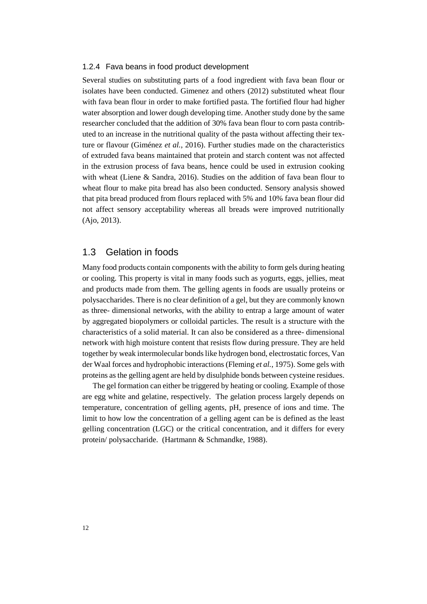#### <span id="page-15-0"></span>1.2.4 Fava beans in food product development

Several studies on substituting parts of a food ingredient with fava bean flour or isolates have been conducted. Gimenez and others (2012) substituted wheat flour with fava bean flour in order to make fortified pasta. The fortified flour had higher water absorption and lower dough developing time. Another study done by the same researcher concluded that the addition of 30% fava bean flour to corn pasta contributed to an increase in the nutritional quality of the pasta without affecting their texture or flavour (Giménez *et al.*, 2016). Further studies made on the characteristics of extruded fava beans maintained that protein and starch content was not affected in the extrusion process of fava beans, hence could be used in extrusion cooking with wheat (Liene & Sandra, 2016). Studies on the addition of fava bean flour to wheat flour to make pita bread has also been conducted. Sensory analysis showed that pita bread produced from flours replaced with 5% and 10% fava bean flour did not affect sensory acceptability whereas all breads were improved nutritionally (Ajo, 2013).

### <span id="page-15-1"></span>1.3 Gelation in foods

Many food products contain components with the ability to form gels during heating or cooling. This property is vital in many foods such as yogurts, eggs, jellies, meat and products made from them. The gelling agents in foods are usually proteins or polysaccharides. There is no clear definition of a gel, but they are commonly known as three- dimensional networks, with the ability to entrap a large amount of water by aggregated biopolymers or colloidal particles. The result is a structure with the characteristics of a solid material. It can also be considered as a three- dimensional network with high moisture content that resists flow during pressure. They are held together by weak intermolecular bonds like hydrogen bond, electrostatic forces, Van der Waal forces and hydrophobic interactions (Fleming *et al.*, 1975). Some gels with proteins as the gelling agent are held by disulphide bonds between cysteine residues.

The gel formation can either be triggered by heating or cooling. Example of those are egg white and gelatine, respectively. The gelation process largely depends on temperature, concentration of gelling agents, pH, presence of ions and time. The limit to how low the concentration of a gelling agent can be is defined as the least gelling concentration (LGC) or the critical concentration, and it differs for every protein/ polysaccharide. (Hartmann & Schmandke, 1988).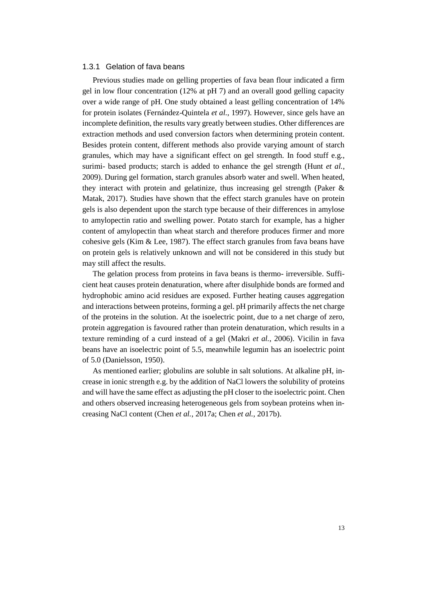#### <span id="page-16-0"></span>1.3.1 Gelation of fava beans

Previous studies made on gelling properties of fava bean flour indicated a firm gel in low flour concentration (12% at pH 7) and an overall good gelling capacity over a wide range of pH. One study obtained a least gelling concentration of 14% for protein isolates (Fernández-Quintela *et al.*, 1997). However, since gels have an incomplete definition, the results vary greatly between studies. Other differences are extraction methods and used conversion factors when determining protein content. Besides protein content, different methods also provide varying amount of starch granules, which may have a significant effect on gel strength. In food stuff e.g., surimi- based products; starch is added to enhance the gel strength (Hunt *et al.*, 2009). During gel formation, starch granules absorb water and swell. When heated, they interact with protein and gelatinize, thus increasing gel strength (Paker & Matak, 2017). Studies have shown that the effect starch granules have on protein gels is also dependent upon the starch type because of their differences in amylose to amylopectin ratio and swelling power. Potato starch for example, has a higher content of amylopectin than wheat starch and therefore produces firmer and more cohesive gels (Kim  $& Lee$ , 1987). The effect starch granules from fava beans have on protein gels is relatively unknown and will not be considered in this study but may still affect the results.

The gelation process from proteins in fava beans is thermo- irreversible. Sufficient heat causes protein denaturation, where after disulphide bonds are formed and hydrophobic amino acid residues are exposed. Further heating causes aggregation and interactions between proteins, forming a gel. pH primarily affects the net charge of the proteins in the solution. At the isoelectric point, due to a net charge of zero, protein aggregation is favoured rather than protein denaturation, which results in a texture reminding of a curd instead of a gel (Makri *et al.*, 2006). Vicilin in fava beans have an isoelectric point of 5.5, meanwhile legumin has an isoelectric point of 5.0 (Danielsson, 1950).

As mentioned earlier; globulins are soluble in salt solutions. At alkaline pH, increase in ionic strength e.g. by the addition of NaCl lowers the solubility of proteins and will have the same effect as adjusting the pH closer to the isoelectric point. Chen and others observed increasing heterogeneous gels from soybean proteins when increasing NaCl content (Chen *et al.*, 2017a; Chen *et al.*, 2017b).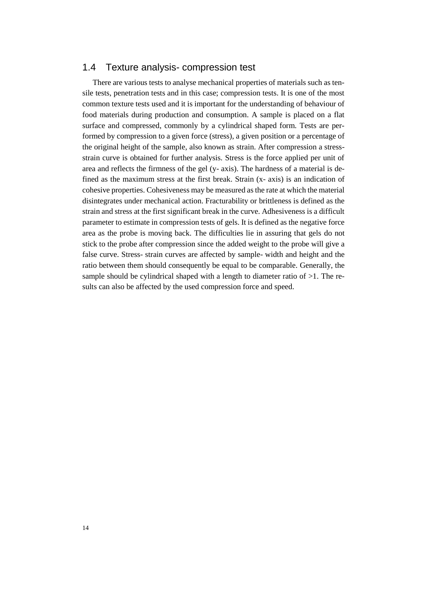### <span id="page-17-0"></span>1.4 Texture analysis- compression test

There are various tests to analyse mechanical properties of materials such as tensile tests, penetration tests and in this case; compression tests. It is one of the most common texture tests used and it is important for the understanding of behaviour of food materials during production and consumption. A sample is placed on a flat surface and compressed, commonly by a cylindrical shaped form. Tests are performed by compression to a given force (stress), a given position or a percentage of the original height of the sample, also known as strain. After compression a stressstrain curve is obtained for further analysis. Stress is the force applied per unit of area and reflects the firmness of the gel (y- axis). The hardness of a material is defined as the maximum stress at the first break. Strain (x- axis) is an indication of cohesive properties. Cohesiveness may be measured as the rate at which the material disintegrates under mechanical action. Fracturability or brittleness is defined as the strain and stress at the first significant break in the curve. Adhesiveness is a difficult parameter to estimate in compression tests of gels. It is defined as the negative force area as the probe is moving back. The difficulties lie in assuring that gels do not stick to the probe after compression since the added weight to the probe will give a false curve. Stress- strain curves are affected by sample- width and height and the ratio between them should consequently be equal to be comparable. Generally, the sample should be cylindrical shaped with a length to diameter ratio of  $>1$ . The results can also be affected by the used compression force and speed.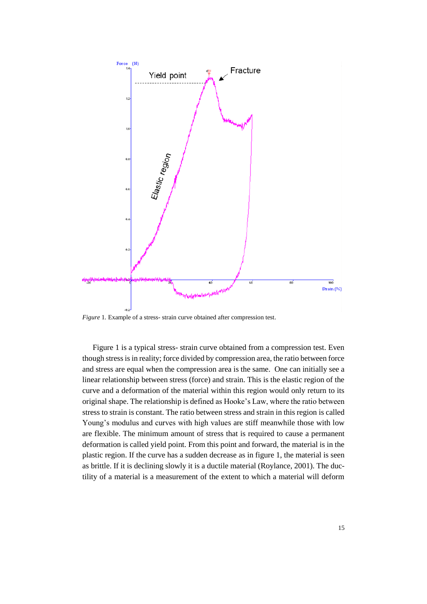

*Figure* 1*.* Example of a stress- strain curve obtained after compression test.

Figure 1 is a typical stress- strain curve obtained from a compression test. Even though stress is in reality; force divided by compression area, the ratio between force and stress are equal when the compression area is the same. One can initially see a linear relationship between stress (force) and strain. This is the elastic region of the curve and a deformation of the material within this region would only return to its original shape. The relationship is defined as Hooke's Law, where the ratio between stress to strain is constant. The ratio between stress and strain in this region is called Young's modulus and curves with high values are stiff meanwhile those with low are flexible. The minimum amount of stress that is required to cause a permanent deformation is called yield point. From this point and forward, the material is in the plastic region. If the curve has a sudden decrease as in figure 1, the material is seen as brittle. If it is declining slowly it is a ductile material (Roylance, 2001). The ductility of a material is a measurement of the extent to which a material will deform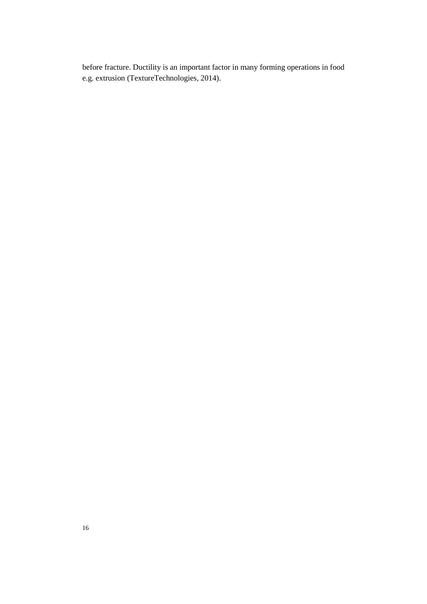before fracture. Ductility is an important factor in many forming operations in food e.g. extrusion (TextureTechnologies, 2014).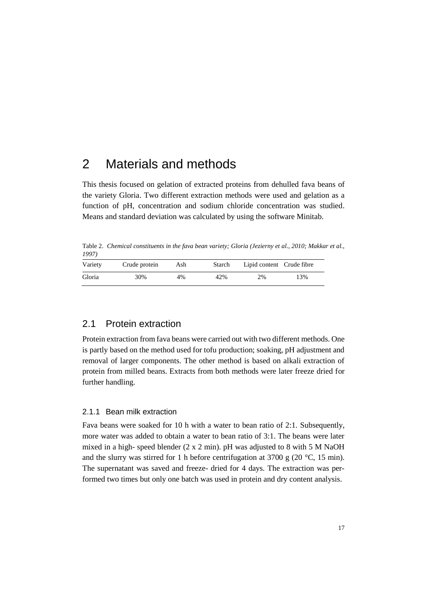## <span id="page-20-0"></span>2 Materials and methods

This thesis focused on gelation of extracted proteins from dehulled fava beans of the variety Gloria. Two different extraction methods were used and gelation as a function of pH, concentration and sodium chloride concentration was studied. Means and standard deviation was calculated by using the software Minitab.

Table 2. *Chemical constituents in the fava bean variety; Gloria (Jezierny et al., 2010; Makkar et al., 1997)*

| Variety | Crude protein | Ash | Starch | Lipid content Crude fibre |     |  |
|---------|---------------|-----|--------|---------------------------|-----|--|
| Gloria  | 30%           | 4%  | 42%    | 2%                        | 13% |  |

### <span id="page-20-1"></span>2.1 Protein extraction

Protein extraction from fava beans were carried out with two different methods. One is partly based on the method used for tofu production; soaking, pH adjustment and removal of larger components. The other method is based on alkali extraction of protein from milled beans. Extracts from both methods were later freeze dried for further handling.

#### <span id="page-20-2"></span>2.1.1 Bean milk extraction

Fava beans were soaked for 10 h with a water to bean ratio of 2:1. Subsequently, more water was added to obtain a water to bean ratio of 3:1. The beans were later mixed in a high- speed blender (2 x 2 min). pH was adjusted to 8 with 5 M NaOH and the slurry was stirred for 1 h before centrifugation at 3700 g  $(20 °C, 15 min)$ . The supernatant was saved and freeze- dried for 4 days. The extraction was performed two times but only one batch was used in protein and dry content analysis.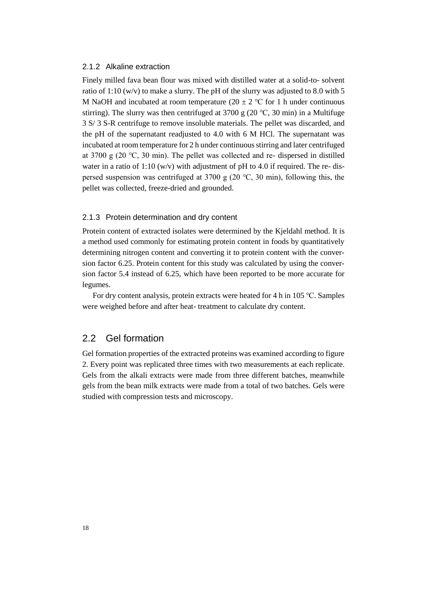#### <span id="page-21-0"></span>2.1.2 Alkaline extraction

Finely milled fava bean flour was mixed with distilled water at a solid-to- solvent ratio of 1:10 (w/v) to make a slurry. The pH of the slurry was adjusted to 8.0 with 5 M NaOH and incubated at room temperature (20  $\pm$  2 °C for 1 h under continuous stirring). The slurry was then centrifuged at 3700 g (20 °C, 30 min) in a Multifuge 3 S/ 3 S-R centrifuge to remove insoluble materials. The pellet was discarded, and the pH of the supernatant readjusted to 4.0 with 6 M HCl. The supernatant was incubated at room temperature for 2 h under continuous stirring and later centrifuged at 3700 g (20 ℃, 30 min). The pellet was collected and re- dispersed in distilled water in a ratio of 1:10 (w/v) with adjustment of pH to 4.0 if required. The re- dispersed suspension was centrifuged at 3700 g (20  $\degree$ C, 30 min), following this, the pellet was collected, freeze-dried and grounded.

#### <span id="page-21-1"></span>2.1.3 Protein determination and dry content

Protein content of extracted isolates were determined by the Kjeldahl method. It is a method used commonly for estimating protein content in foods by quantitatively determining nitrogen content and converting it to protein content with the conversion factor 6.25. Protein content for this study was calculated by using the conversion factor 5.4 instead of 6.25, which have been reported to be more accurate for legumes.

<span id="page-21-2"></span>For dry content analysis, protein extracts were heated for 4 h in 105 ℃. Samples were weighed before and after heat- treatment to calculate dry content.

### 2.2 Gel formation

Gel formation properties of the extracted proteins was examined according to figure 2. Every point was replicated three times with two measurements at each replicate. Gels from the alkali extracts were made from three different batches, meanwhile gels from the bean milk extracts were made from a total of two batches. Gels were studied with compression tests and microscopy.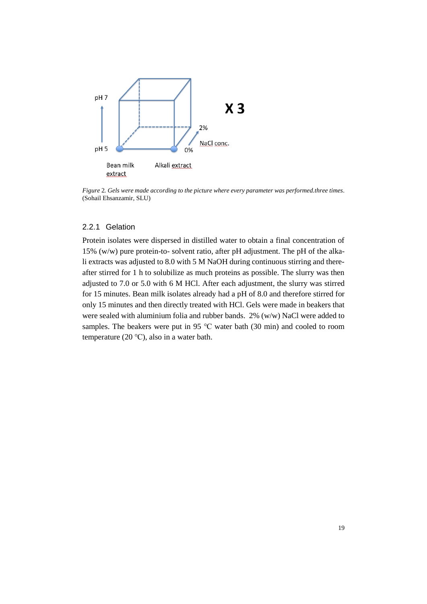

*Figure* 2*. Gels were made according to the picture where every parameter was performed.three times*. (Sohail Ehsanzamir, SLU)

#### <span id="page-22-0"></span>2.2.1 Gelation

Protein isolates were dispersed in distilled water to obtain a final concentration of 15% (w/w) pure protein-to- solvent ratio, after pH adjustment. The pH of the alkali extracts was adjusted to 8.0 with 5 M NaOH during continuous stirring and thereafter stirred for 1 h to solubilize as much proteins as possible. The slurry was then adjusted to 7.0 or 5.0 with 6 M HCl. After each adjustment, the slurry was stirred for 15 minutes. Bean milk isolates already had a pH of 8.0 and therefore stirred for only 15 minutes and then directly treated with HCl. Gels were made in beakers that were sealed with aluminium folia and rubber bands. 2% (w/w) NaCl were added to samples. The beakers were put in 95 ℃ water bath (30 min) and cooled to room temperature (20 ℃), also in a water bath.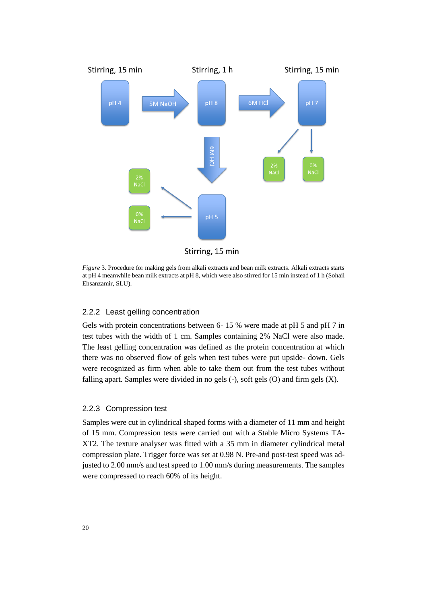

Stirring, 15 min

*Figure* 3*.* Procedure for making gels from alkali extracts and bean milk extracts. Alkali extracts starts at pH 4 meanwhile bean milk extracts at pH 8, which were also stirred for 15 min instead of 1 h (Sohail Ehsanzamir, SLU).

#### <span id="page-23-0"></span>2.2.2 Least gelling concentration

Gels with protein concentrations between 6- 15 % were made at pH 5 and pH 7 in test tubes with the width of 1 cm. Samples containing 2% NaCl were also made. The least gelling concentration was defined as the protein concentration at which there was no observed flow of gels when test tubes were put upside- down. Gels were recognized as firm when able to take them out from the test tubes without falling apart. Samples were divided in no gels (-), soft gels (O) and firm gels (X).

#### <span id="page-23-1"></span>2.2.3 Compression test

Samples were cut in cylindrical shaped forms with a diameter of 11 mm and height of 15 mm. Compression tests were carried out with a Stable Micro Systems TA-XT2. The texture analyser was fitted with a 35 mm in diameter cylindrical metal compression plate. Trigger force was set at 0.98 N. Pre-and post-test speed was adjusted to 2.00 mm/s and test speed to 1.00 mm/s during measurements. The samples were compressed to reach 60% of its height.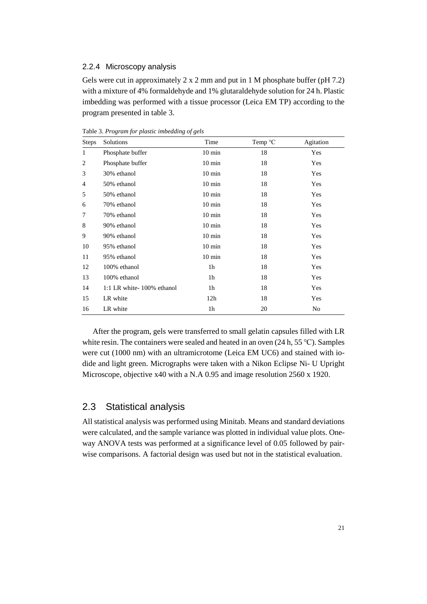#### <span id="page-24-0"></span>2.2.4 Microscopy analysis

Gels were cut in approximately 2 x 2 mm and put in 1 M phosphate buffer (pH 7.2) with a mixture of 4% formaldehyde and 1% glutaraldehyde solution for 24 h. Plastic imbedding was performed with a tissue processor (Leica EM TP) according to the program presented in table 3.

| <b>Steps</b>   | Solutions                 | Time             | Temp °C | Agitation |
|----------------|---------------------------|------------------|---------|-----------|
| 1              | Phosphate buffer          | $10 \text{ min}$ | 18      | Yes       |
| $\overline{2}$ | Phosphate buffer          | $10 \text{ min}$ | 18      | Yes       |
| 3              | 30% ethanol               | $10 \text{ min}$ | 18      | Yes       |
| 4              | 50% ethanol               | $10 \text{ min}$ | 18      | Yes       |
| 5              | 50% ethanol               | $10 \text{ min}$ | 18      | Yes       |
| 6              | 70% ethanol               | $10 \text{ min}$ | 18      | Yes       |
| 7              | 70% ethanol               | $10 \text{ min}$ | 18      | Yes       |
| 8              | 90% ethanol               | $10 \text{ min}$ | 18      | Yes       |
| 9              | 90% ethanol               | $10 \text{ min}$ | 18      | Yes       |
| 10             | 95% ethanol               | $10 \text{ min}$ | 18      | Yes       |
| 11             | 95% ethanol               | $10 \text{ min}$ | 18      | Yes       |
| 12             | 100% ethanol              | 1 <sub>h</sub>   | 18      | Yes       |
| 13             | 100% ethanol              | 1 <sub>h</sub>   | 18      | Yes       |
| 14             | 1:1 LR white-100% ethanol | 1h               | 18      | Yes       |
| 15             | LR white                  | 12h              | 18      | Yes       |
| 16             | LR white                  | 1h               | 20      | No        |

Table 3. *Program for plastic imbedding of gels*

After the program, gels were transferred to small gelatin capsules filled with LR white resin. The containers were sealed and heated in an oven (24 h, 55 ℃). Samples were cut (1000 nm) with an ultramicrotome (Leica EM UC6) and stained with iodide and light green. Micrographs were taken with a Nikon Eclipse Ni- U Upright Microscope, objective x40 with a N.A 0.95 and image resolution 2560 x 1920.

### <span id="page-24-1"></span>2.3 Statistical analysis

All statistical analysis was performed using Minitab. Means and standard deviations were calculated, and the sample variance was plotted in individual value plots. Oneway ANOVA tests was performed at a significance level of 0.05 followed by pairwise comparisons. A factorial design was used but not in the statistical evaluation.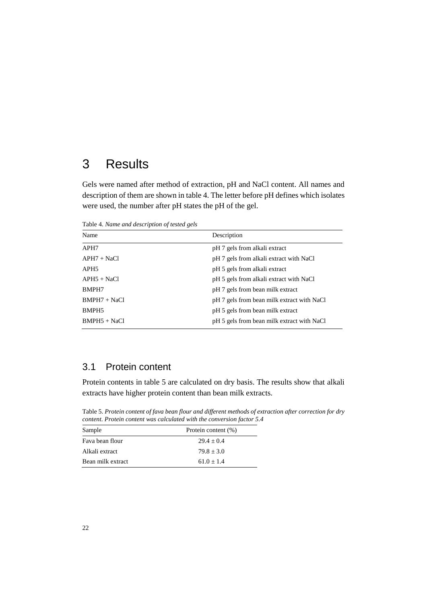## <span id="page-25-0"></span>3 Results

Gels were named after method of extraction, pH and NaCl content. All names and description of them are shown in table 4. The letter before pH defines which isolates were used, the number after pH states the pH of the gel.

Table 4. *Name and description of tested gels*

| Name              | Description                                |
|-------------------|--------------------------------------------|
| APH7              | pH 7 gels from alkali extract              |
| $APH7 + NaCl$     | pH 7 gels from alkali extract with NaCl    |
| APH <sub>5</sub>  | pH 5 gels from alkali extract              |
| $APH5 + NaCl$     | pH 5 gels from alkali extract with NaCl    |
| BMPH7             | pH 7 gels from bean milk extract           |
| $BMPH7 + NaCl$    | pH 7 gels from bean milk extract with NaCl |
| BMPH <sub>5</sub> | pH 5 gels from bean milk extract           |
| $BMPH5 + NaCl$    | pH 5 gels from bean milk extract with NaCl |

### <span id="page-25-1"></span>3.1 Protein content

Protein contents in table 5 are calculated on dry basis. The results show that alkali extracts have higher protein content than bean milk extracts.

Table 5. *Protein content of fava bean flour and different methods of extraction after correction for dry content. Protein content was calculated with the conversion factor 5.4*

| Sample            | Protein content (%) |
|-------------------|---------------------|
| Fava bean flour   | $29.4 + 0.4$        |
| Alkali extract    | $79.8 + 3.0$        |
| Bean milk extract | $61.0 + 1.4$        |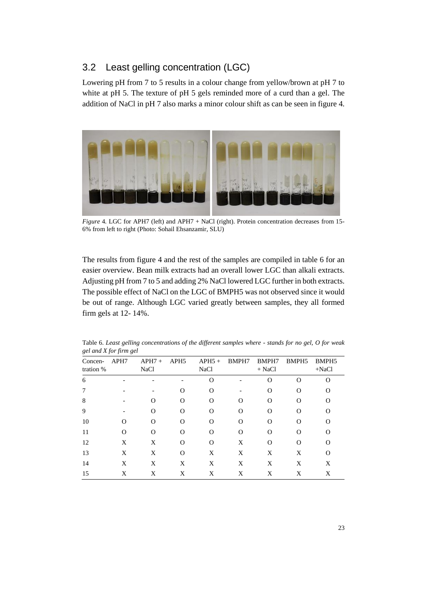### <span id="page-26-0"></span>3.2 Least gelling concentration (LGC)

Lowering pH from 7 to 5 results in a colour change from yellow/brown at pH 7 to white at pH 5. The texture of pH 5 gels reminded more of a curd than a gel. The addition of NaCl in pH 7 also marks a minor colour shift as can be seen in figure 4.



*Figure* 4*.* LGC for APH7 (left) and APH7 + NaCl (right). Protein concentration decreases from 15- 6% from left to right (Photo: Sohail Ehsanzamir, SLU)

The results from figure 4 and the rest of the samples are compiled in table 6 for an easier overview. Bean milk extracts had an overall lower LGC than alkali extracts. Adjusting pH from 7 to 5 and adding 2% NaCl lowered LGC further in both extracts. The possible effect of NaCl on the LGC of BMPH5 was not observed since it would be out of range. Although LGC varied greatly between samples, they all formed firm gels at 12- 14%.

| Concen-<br>tration % | APH7     | $APH7+$<br><b>NaCl</b> | APH <sub>5</sub>                   | $APH5+$<br><b>NaCl</b> | BMPH7    | BMPH7<br>$+$ NaCl                  | BMPH <sub>5</sub> | BMPH <sub>5</sub><br>$+NaCl$ |
|----------------------|----------|------------------------|------------------------------------|------------------------|----------|------------------------------------|-------------------|------------------------------|
| 6                    |          |                        |                                    | ∩                      |          | O                                  | $\Omega$          | ∩                            |
|                      |          |                        | $\scriptstyle\rm\scriptstyle{(1)}$ | $\Omega$               |          | $\mathcal{L}$                      | O                 |                              |
| 8                    |          | $\Omega$               | O                                  | $\Omega$               | O        | O                                  | O                 |                              |
| 9                    |          | $\Omega$               | O                                  | $\Omega$               | $\Omega$ | റ                                  | O                 |                              |
| 10                   | റ        | $\Omega$               | ∩                                  | $\Omega$               | $\Omega$ | 0                                  | ∩                 |                              |
| 11                   | $\Omega$ | ∩                      | ∩                                  | $\Omega$               | O        | $\scriptstyle\rm\scriptstyle{(3)}$ | ∩                 |                              |
| 12                   | X        | X                      | O                                  | $\Omega$               | X        | $\Omega$                           | Ω                 |                              |
| 13                   | X        | X                      | $\Omega$                           | X                      | X        | X                                  | X                 | ∩                            |
| 14                   | X        | X                      | X                                  | X                      | X        | X                                  | X                 | X                            |
| 15                   | X        | X                      | X                                  | X                      | X        | X                                  | X                 | X                            |

Table 6. *Least gelling concentrations of the different samples where - stands for no gel, O for weak gel and X for firm gel*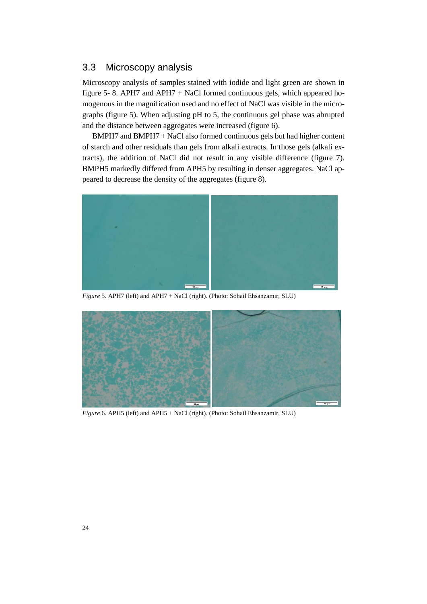### <span id="page-27-0"></span>3.3 Microscopy analysis

Microscopy analysis of samples stained with iodide and light green are shown in figure 5- 8. APH7 and APH7 + NaCl formed continuous gels, which appeared homogenous in the magnification used and no effect of NaCl was visible in the micrographs (figure 5). When adjusting pH to 5, the continuous gel phase was abrupted and the distance between aggregates were increased (figure 6).

 BMPH7 and BMPH7 + NaCl also formed continuous gels but had higher content of starch and other residuals than gels from alkali extracts. In those gels (alkali extracts), the addition of NaCl did not result in any visible difference (figure 7). BMPH5 markedly differed from APH5 by resulting in denser aggregates. NaCl appeared to decrease the density of the aggregates (figure 8).



*Figure* 5*.* APH7 (left) and APH7 + NaCl (right). (Photo: Sohail Ehsanzamir, SLU)



*Figure* 6*.* APH5 (left) and APH5 + NaCl (right). (Photo: Sohail Ehsanzamir, SLU)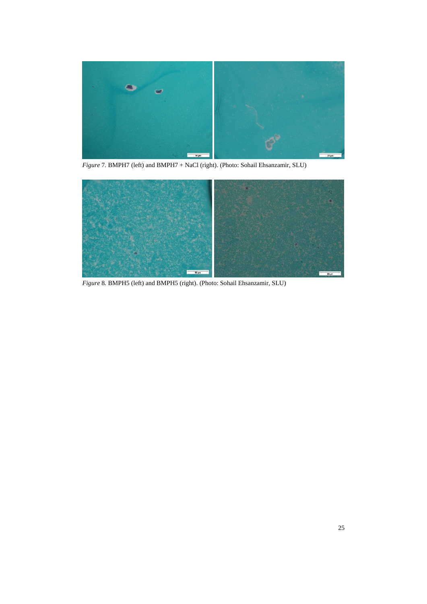

*Figure* 7*.* BMPH7 (left) and BMPH7 + NaCl (right). (Photo: Sohail Ehsanzamir, SLU)



*Figure* 8*.* BMPH5 (left) and BMPH5 (right). (Photo: Sohail Ehsanzamir, SLU)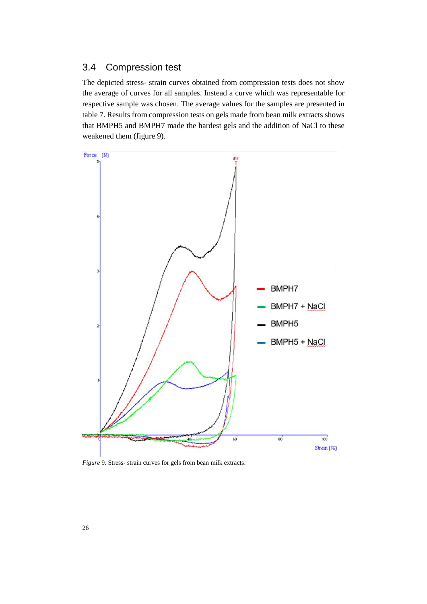### <span id="page-29-0"></span>3.4 Compression test

The depicted stress- strain curves obtained from compression tests does not show the average of curves for all samples. Instead a curve which was representable for respective sample was chosen. The average values for the samples are presented in table 7. Results from compression tests on gels made from bean milk extracts shows that BMPH5 and BMPH7 made the hardest gels and the addition of NaCl to these weakened them (figure 9).



*Figure* 9*.* Stress- strain curves for gels from bean milk extracts.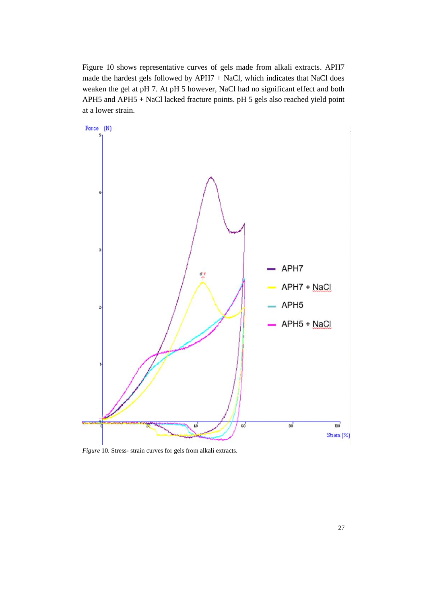Figure 10 shows representative curves of gels made from alkali extracts. APH7 made the hardest gels followed by APH7 + NaCl, which indicates that NaCl does weaken the gel at pH 7. At pH 5 however, NaCl had no significant effect and both APH5 and APH5 + NaCl lacked fracture points. pH 5 gels also reached yield point at a lower strain.



*Figure* 10*.* Stress- strain curves for gels from alkali extracts.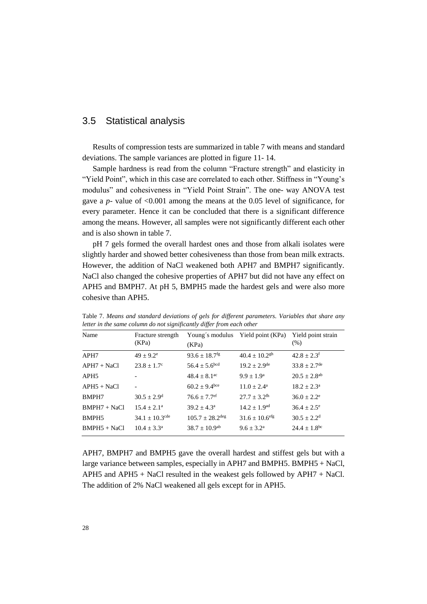### <span id="page-31-0"></span>3.5 Statistical analysis

Results of compression tests are summarized in table 7 with means and standard deviations. The sample variances are plotted in figure 11- 14.

Sample hardness is read from the column "Fracture strength" and elasticity in "Yield Point", which in this case are correlated to each other. Stiffness in "Young's modulus" and cohesiveness in "Yield Point Strain". The one- way ANOVA test gave a *p*- value of <0.001 among the means at the 0.05 level of significance, for every parameter. Hence it can be concluded that there is a significant difference among the means. However, all samples were not significantly different each other and is also shown in table 7.

pH 7 gels formed the overall hardest ones and those from alkali isolates were slightly harder and showed better cohesiveness than those from bean milk extracts. However, the addition of NaCl weakened both APH7 and BMPH7 significantly. NaCl also changed the cohesive properties of APH7 but did not have any effect on APH5 and BMPH7. At pH 5, BMPH5 made the hardest gels and were also more cohesive than APH5.

| icher in me same countin ao noi significantly alffer from caen omer |                                |                               |                                   |                               |  |  |  |
|---------------------------------------------------------------------|--------------------------------|-------------------------------|-----------------------------------|-------------------------------|--|--|--|
| Name                                                                | Fracture strength<br>(KPa)     | (KPa)                         | Young's modulus Yield point (KPa) | Yield point strain<br>$(\% )$ |  |  |  |
| APH7                                                                | $49 + 9.2^e$                   | $93.6 \pm 18.7$ <sup>fg</sup> | $40.4 \pm 10.2$ <sup>gh</sup>     | $42.8 \pm 2.3$ <sup>f</sup>   |  |  |  |
| $APH7 + NaCl$                                                       | $23.8 \pm 1.7^{\circ}$         | $56.4 \pm 5.6$ <sup>bcd</sup> | $19.2 \pm 2.9^{\text{de}}$        | $33.8 \pm 2.7$ <sup>de</sup>  |  |  |  |
| APH <sub>5</sub>                                                    |                                | $48.4 + 8.1$ <sup>ac</sup>    | $9.9 + 1.9^a$                     | $20.5 \pm 2.8$ <sup>ab</sup>  |  |  |  |
| $APH5 + NaCl$                                                       |                                | $60.2 \pm 9.4$ bce            | $11.0 + 2.4^a$                    | $18.2 \pm 2.3^{\circ}$        |  |  |  |
| BMPH7                                                               | $30.5 \pm 2.9^{\rm d}$         | $76.6 \pm 7.7$ <sup>ef</sup>  | $27.7 + 3.2$ <sup>th</sup>        | $36.0 \pm 2.2^e$              |  |  |  |
| $BMPH7 + NaCl$                                                      | $15.4 + 2.1^a$                 | $39.2 + 4.3^a$                | $14.2 + 1.9$ <sup>ad</sup>        | $36.4 + 2.5^e$                |  |  |  |
| BMPH <sub>5</sub>                                                   | $34.1 \pm 10.3$ <sup>cde</sup> | $105.7 + 28.2$ <sup>deg</sup> | $31.6 \pm 10.6$ <sup>efg</sup>    | $30.5 \pm 2.2$ <sup>d</sup>   |  |  |  |
| $BMPH5 + NaCl$                                                      | $10.4 + 3.3^a$                 | $38.7 \pm 10.9$ <sup>ab</sup> | $9.6 + 3.2^a$                     | $24.4 \pm 1.8$ <sup>bc</sup>  |  |  |  |

Table 7. *Means and standard deviations of gels for different parameters. Variables that share any letter in the same column do not significantly differ from each other*

APH7, BMPH7 and BMPH5 gave the overall hardest and stiffest gels but with a large variance between samples, especially in APH7 and BMPH5. BMPH5 + NaCl, APH5 and APH5 + NaCl resulted in the weakest gels followed by APH7 + NaCl. The addition of 2% NaCl weakened all gels except for in APH5.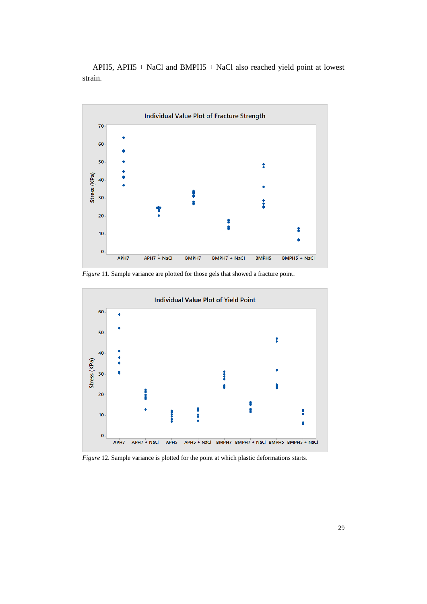APH5, APH5 + NaCl and BMPH5 + NaCl also reached yield point at lowest strain.



*Figure* 11*.* Sample variance are plotted for those gels that showed a fracture point.



*Figure* 12*.* Sample variance is plotted for the point at which plastic deformations starts.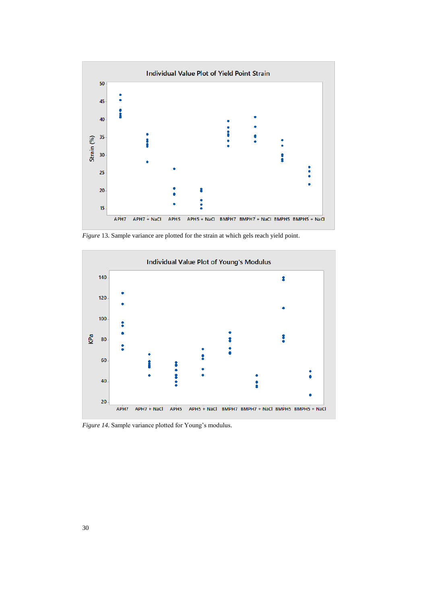

*Figure* 13*.* Sample variance are plotted for the strain at which gels reach yield point.



*Figure 14.* Sample variance plotted for Young's modulus.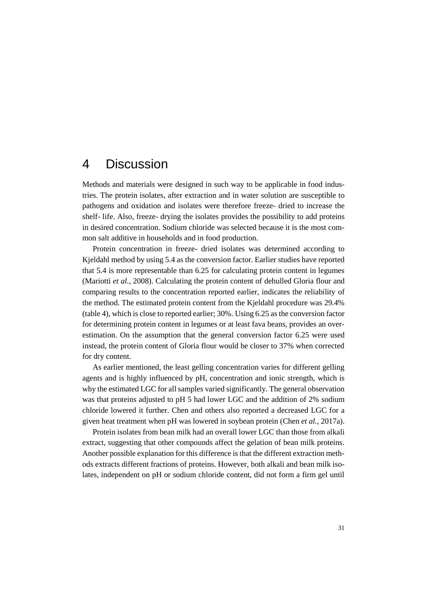## <span id="page-34-0"></span>4 Discussion

Methods and materials were designed in such way to be applicable in food industries. The protein isolates, after extraction and in water solution are susceptible to pathogens and oxidation and isolates were therefore freeze- dried to increase the shelf- life. Also, freeze- drying the isolates provides the possibility to add proteins in desired concentration. Sodium chloride was selected because it is the most common salt additive in households and in food production.

Protein concentration in freeze- dried isolates was determined according to Kjeldahl method by using 5.4 as the conversion factor. Earlier studies have reported that 5.4 is more representable than 6.25 for calculating protein content in legumes (Mariotti *et al.*, 2008). Calculating the protein content of dehulled Gloria flour and comparing results to the concentration reported earlier, indicates the reliability of the method. The estimated protein content from the Kjeldahl procedure was 29.4% (table 4), which is close to reported earlier; 30%. Using 6.25 as the conversion factor for determining protein content in legumes or at least fava beans, provides an overestimation. On the assumption that the general conversion factor 6.25 were used instead, the protein content of Gloria flour would be closer to 37% when corrected for dry content.

As earlier mentioned, the least gelling concentration varies for different gelling agents and is highly influenced by pH, concentration and ionic strength, which is why the estimated LGC for all samples varied significantly. The general observation was that proteins adjusted to pH 5 had lower LGC and the addition of 2% sodium chloride lowered it further. Chen and others also reported a decreased LGC for a given heat treatment when pH was lowered in soybean protein (Chen *et al.*, 2017a).

Protein isolates from bean milk had an overall lower LGC than those from alkali extract, suggesting that other compounds affect the gelation of bean milk proteins. Another possible explanation for this difference is that the different extraction methods extracts different fractions of proteins. However, both alkali and bean milk isolates, independent on pH or sodium chloride content, did not form a firm gel until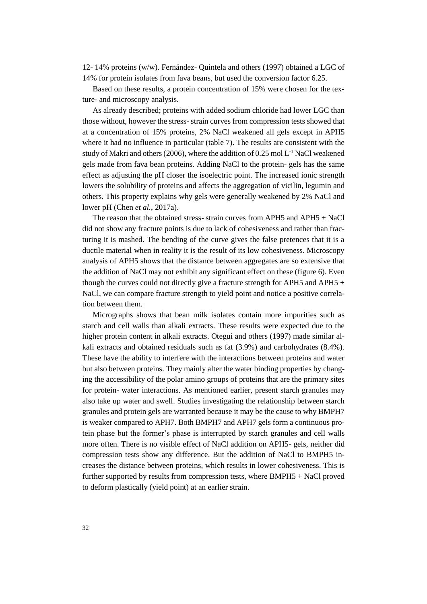12- 14% proteins (w/w). Fernández- Quintela and others (1997) obtained a LGC of 14% for protein isolates from fava beans, but used the conversion factor 6.25.

Based on these results, a protein concentration of 15% were chosen for the texture- and microscopy analysis.

As already described; proteins with added sodium chloride had lower LGC than those without, however the stress- strain curves from compression tests showed that at a concentration of 15% proteins, 2% NaCl weakened all gels except in APH5 where it had no influence in particular (table 7). The results are consistent with the study of Makri and others (2006), where the addition of 0.25 mol L-1 NaCl weakened gels made from fava bean proteins. Adding NaCl to the protein- gels has the same effect as adjusting the pH closer the isoelectric point. The increased ionic strength lowers the solubility of proteins and affects the aggregation of vicilin, legumin and others. This property explains why gels were generally weakened by 2% NaCl and lower pH (Chen *et al.*, 2017a).

The reason that the obtained stress- strain curves from APH5 and APH5 + NaCl did not show any fracture points is due to lack of cohesiveness and rather than fracturing it is mashed. The bending of the curve gives the false pretences that it is a ductile material when in reality it is the result of its low cohesiveness. Microscopy analysis of APH5 shows that the distance between aggregates are so extensive that the addition of NaCl may not exhibit any significant effect on these (figure 6). Even though the curves could not directly give a fracture strength for APH5 and APH5  $+$ NaCl, we can compare fracture strength to yield point and notice a positive correlation between them.

Micrographs shows that bean milk isolates contain more impurities such as starch and cell walls than alkali extracts. These results were expected due to the higher protein content in alkali extracts. Otegui and others (1997) made similar alkali extracts and obtained residuals such as fat (3.9%) and carbohydrates (8.4%). These have the ability to interfere with the interactions between proteins and water but also between proteins. They mainly alter the water binding properties by changing the accessibility of the polar amino groups of proteins that are the primary sites for protein- water interactions. As mentioned earlier, present starch granules may also take up water and swell. Studies investigating the relationship between starch granules and protein gels are warranted because it may be the cause to why BMPH7 is weaker compared to APH7. Both BMPH7 and APH7 gels form a continuous protein phase but the former's phase is interrupted by starch granules and cell walls more often. There is no visible effect of NaCl addition on APH5- gels, neither did compression tests show any difference. But the addition of NaCl to BMPH5 increases the distance between proteins, which results in lower cohesiveness. This is further supported by results from compression tests, where BMPH5 + NaCl proved to deform plastically (yield point) at an earlier strain.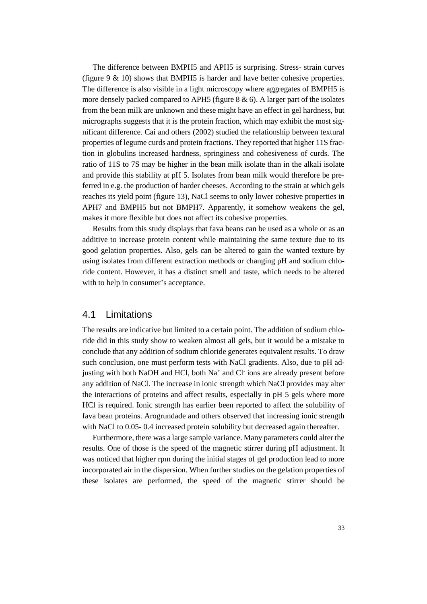The difference between BMPH5 and APH5 is surprising. Stress- strain curves (figure  $9 \& 10$ ) shows that BMPH5 is harder and have better cohesive properties. The difference is also visible in a light microscopy where aggregates of BMPH5 is more densely packed compared to APH5 (figure  $8 \& 6$ ). A larger part of the isolates from the bean milk are unknown and these might have an effect in gel hardness, but micrographs suggests that it is the protein fraction, which may exhibit the most significant difference. Cai and others (2002) studied the relationship between textural properties of legume curds and protein fractions. They reported that higher 11S fraction in globulins increased hardness, springiness and cohesiveness of curds. The ratio of 11S to 7S may be higher in the bean milk isolate than in the alkali isolate and provide this stability at pH 5. Isolates from bean milk would therefore be preferred in e.g. the production of harder cheeses. According to the strain at which gels reaches its yield point (figure 13), NaCl seems to only lower cohesive properties in APH7 and BMPH5 but not BMPH7. Apparently, it somehow weakens the gel, makes it more flexible but does not affect its cohesive properties.

Results from this study displays that fava beans can be used as a whole or as an additive to increase protein content while maintaining the same texture due to its good gelation properties. Also, gels can be altered to gain the wanted texture by using isolates from different extraction methods or changing pH and sodium chloride content. However, it has a distinct smell and taste, which needs to be altered with to help in consumer's acceptance.

#### <span id="page-36-0"></span>4.1 Limitations

The results are indicative but limited to a certain point. The addition of sodium chloride did in this study show to weaken almost all gels, but it would be a mistake to conclude that any addition of sodium chloride generates equivalent results. To draw such conclusion, one must perform tests with NaCl gradients. Also, due to pH adjusting with both NaOH and HCl, both Na<sup>+</sup> and Cl ions are already present before any addition of NaCl. The increase in ionic strength which NaCl provides may alter the interactions of proteins and affect results, especially in pH 5 gels where more HCl is required. Ionic strength has earlier been reported to affect the solubility of fava bean proteins. Arogrundade and others observed that increasing ionic strength with NaCl to 0.05- 0.4 increased protein solubility but decreased again thereafter.

Furthermore, there was a large sample variance. Many parameters could alter the results. One of those is the speed of the magnetic stirrer during pH adjustment. It was noticed that higher rpm during the initial stages of gel production lead to more incorporated air in the dispersion. When further studies on the gelation properties of these isolates are performed, the speed of the magnetic stirrer should be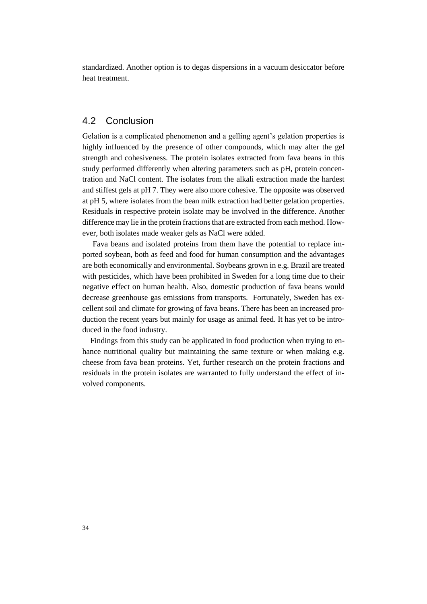standardized. Another option is to degas dispersions in a vacuum desiccator before heat treatment.

### <span id="page-37-0"></span>4.2 Conclusion

Gelation is a complicated phenomenon and a gelling agent's gelation properties is highly influenced by the presence of other compounds, which may alter the gel strength and cohesiveness. The protein isolates extracted from fava beans in this study performed differently when altering parameters such as pH, protein concentration and NaCl content. The isolates from the alkali extraction made the hardest and stiffest gels at pH 7. They were also more cohesive. The opposite was observed at pH 5, where isolates from the bean milk extraction had better gelation properties. Residuals in respective protein isolate may be involved in the difference. Another difference may lie in the protein fractions that are extracted from each method. However, both isolates made weaker gels as NaCl were added.

Fava beans and isolated proteins from them have the potential to replace imported soybean, both as feed and food for human consumption and the advantages are both economically and environmental. Soybeans grown in e.g. Brazil are treated with pesticides, which have been prohibited in Sweden for a long time due to their negative effect on human health. Also, domestic production of fava beans would decrease greenhouse gas emissions from transports. Fortunately, Sweden has excellent soil and climate for growing of fava beans. There has been an increased production the recent years but mainly for usage as animal feed. It has yet to be introduced in the food industry.

 Findings from this study can be applicated in food production when trying to enhance nutritional quality but maintaining the same texture or when making e.g. cheese from fava bean proteins. Yet, further research on the protein fractions and residuals in the protein isolates are warranted to fully understand the effect of involved components.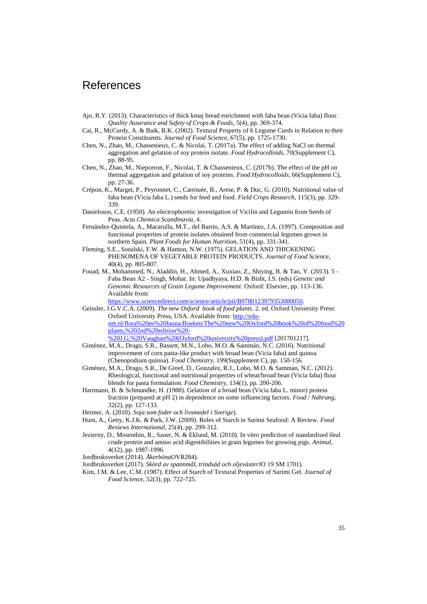## <span id="page-38-0"></span>References

- Ajo, R.Y. (2013). Characteristics of thick kmaj bread enrichment with faba bean (Vicia faba) flour. *Quality Assurance and Safety of Crops & Foods,* 5(4), pp. 369-374.
- Cai, R., McCurdy, A. & Baik, B.K. (2002). Textural Property of 6 Legume Curds in Relation to their Protein Constituents. *Journal of Food Science,* 67(5), pp. 1725-1730.
- Chen, N., Zhao, M., Chassenieux, C. & Nicolai, T. (2017a). The effect of adding NaCl on thermal aggregation and gelation of soy protein isolate. *Food Hydrocolloids,* 70(Supplement C), pp. 88-95.
- Chen, N., Zhao, M., Niepceron, F., Nicolai, T. & Chassenieux, C. (2017b). The effect of the pH on thermal aggregation and gelation of soy proteins. *Food Hydrocolloids,* 66(Supplement C), pp. 27-36.
- Crépon, K., Marget, P., Peyronnet, C., Carrouée, B., Arese, P. & Duc, G. (2010). Nutritional value of faba bean (Vicia faba L.) seeds for feed and food. *Field Crops Research,* 115(3), pp. 329- 339.
- Danielsson, C.E. (1950). An electrophoretic investigation of Vicilin and Legumin from Seeds of Peas. *Acta Chemica Scandinavia,* 4.
- Fernández-Quintela, A., Macarulla, M.T., del Barrio, A.S. & Martínez, J.A. (1997). Composition and functional properties of protein isolates obtained from commercial legumes grown in northern Spain. *Plant Foods for Human Nutrition,* 51(4), pp. 331-341.
- Fleming, S.E., Sosulski, F.W. & Hamon, N.W. (1975). GELATION AND THICKENING PHENOMENA OF VEGETABLE PROTEIN PRODUCTS. *Journal of Food Science,*  40(4), pp. 805-807.
- Fouad, M., Mohammed, N., Aladdin, H., Ahmed, A., Xuxiao, Z., Shiying, B. & Tao, Y. (2013). 5 Faba Bean A2 - Singh, Mohar. In: Upadhyaya, H.D. & Bisht, I.S. (eds) *Genetic and Genomic Resources of Grain Legume Improvement*. Oxford: Elsevier, pp. 113-136. Available from:

[https://www.sciencedirect.com/science/article/pii/B9780123979353000050.](https://www.sciencedirect.com/science/article/pii/B9780123979353000050)

- Geissler, J.G.V.C.A. (2009). *The new Oxford book of food plants*. 2. ed. Oxford University Press: Oxford University Press, USA. Available from: [http://edu](http://edu-net.nl/flora%20en%20fauna/Boeken/The%20new%20Oxford%20book%20of%20food%20plants,%202nd%20edition%20-%20J.G,%20Vaughan%20(Oxford%20university%20press).pdf)[net.nl/flora%20en%20fauna/Boeken/The%20new%20Oxford%20book%20of%20food%20](http://edu-net.nl/flora%20en%20fauna/Boeken/The%20new%20Oxford%20book%20of%20food%20plants,%202nd%20edition%20-%20J.G,%20Vaughan%20(Oxford%20university%20press).pdf) [plants,%202nd%20edition%20-](http://edu-net.nl/flora%20en%20fauna/Boeken/The%20new%20Oxford%20book%20of%20food%20plants,%202nd%20edition%20-%20J.G,%20Vaughan%20(Oxford%20university%20press).pdf) [%20J.G,%20Vaughan%20\(Oxford%20university%20press\).pdf](http://edu-net.nl/flora%20en%20fauna/Boeken/The%20new%20Oxford%20book%20of%20food%20plants,%202nd%20edition%20-%20J.G,%20Vaughan%20(Oxford%20university%20press).pdf) [201701217].
- Giménez, M.A., Drago, S.R., Bassett, M.N., Lobo, M.O. & Sammán, N.C. (2016). Nutritional improvement of corn pasta-like product with broad bean (Vicia faba) and quinoa (Chenopodium quinoa). *Food Chemistry,* 199(Supplement C), pp. 150-156.
- Giménez, M.A., Drago, S.R., De Greef, D., Gonzalez, R.J., Lobo, M.O. & Samman, N.C. (2012). Rheological, functional and nutritional properties of wheat/broad bean (Vicia faba) flour blends for pasta formulation. *Food Chemistry,* 134(1), pp. 200-206.
- Hartmann, B. & Schmandke, H. (1988). Gelation of a broad bean (Vicia faba L. minor) protein fraction (prepared at pH 2) in dependence on some influencing factors. *Food / Nahrung,*  32(2), pp. 127-133.
- Heimer, A. (2010). *Soja som foder och livsmedel i Sverige*).
- Hunt, A., Getty, K.J.K. & Park, J.W. (2009). Roles of Starch in Surimi Seafood: A Review. *Food Reviews International,* 25(4), pp. 299-312.
- Jezierny, D., Mosenthin, R., Sauer, N. & Eklund, M. (2010). In vitro prediction of standardised ileal crude protein and amino acid digestibilities in grain legumes for growing pigs. *Animal,*  4(12), pp. 1987-1996.
- Jordbruksverket (2014). *Åkerböna*OVR284).
- Jordbruksverket (2017). *Skörd av spannmål, trindsäd och oljeväxter*JO 19 SM 1701).
- Kim, J.M. & Lee, C.M. (1987). Effect of Starch of Textural Properties of Surimi Gel. *Journal of Food Science,* 52(3), pp. 722-725.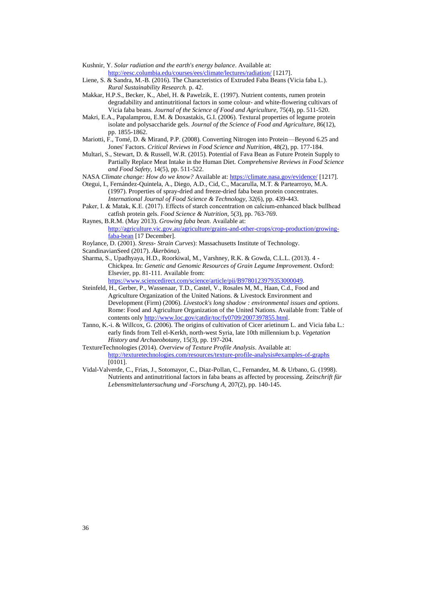Kushnir, Y. *Solar radiation and the earth's energy balance*. Available at: <http://eesc.columbia.edu/courses/ees/climate/lectures/radiation/> [1217].

- Liene, S. & Sandra, M.-B. (2016). The Characteristics of Extruded Faba Beans (Vicia faba L.). *Rural Sustainability Research.* p. 42.
- Makkar, H.P.S., Becker, K., Abel, H. & Pawelzik, E. (1997). Nutrient contents, rumen protein degradability and antinutritional factors in some colour- and white-flowering cultivars of Vicia faba beans. *Journal of the Science of Food and Agriculture,* 75(4), pp. 511-520.
- Makri, E.A., Papalamprou, E.M. & Doxastakis, G.I. (2006). Textural properties of legume protein isolate and polysaccharide gels. *Journal of the Science of Food and Agriculture,* 86(12), pp. 1855-1862.
- Mariotti, F., Tomé, D. & Mirand, P.P. (2008). Converting Nitrogen into Protein—Beyond 6.25 and Jones' Factors. *Critical Reviews in Food Science and Nutrition,* 48(2), pp. 177-184.
- Multari, S., Stewart, D. & Russell, W.R. (2015). Potential of Fava Bean as Future Protein Supply to Partially Replace Meat Intake in the Human Diet. *Comprehensive Reviews in Food Science and Food Safety,* 14(5), pp. 511-522.
- NASA *Climate change: How do we know?* Available at[: https://climate.nasa.gov/evidence/](https://climate.nasa.gov/evidence/) [1217].
- Otegui, I., Fernández-Quintela, A., Diego, A.D., Cid, C., Macarulla, M.T. & Partearroyo, M.A. (1997). Properties of spray-dried and freeze-dried faba bean protein concentrates. *International Journal of Food Science & Technology,* 32(6), pp. 439-443.
- Paker, I. & Matak, K.E. (2017). Effects of starch concentration on calcium‐enhanced black bullhead catfish protein gels. *Food Science & Nutrition,* 5(3), pp. 763-769.

Raynes, B.R.M. (May 2013). *Growing faba bean*. Available at: [http://agriculture.vic.gov.au/agriculture/grains-and-other-crops/crop-production/growing-](http://agriculture.vic.gov.au/agriculture/grains-and-other-crops/crop-production/growing-faba-bean)

- [faba-bean](http://agriculture.vic.gov.au/agriculture/grains-and-other-crops/crop-production/growing-faba-bean) [17 December].
- Roylance, D. (2001). *Stress- Strain Curves*): Massachusetts Institute of Technology. ScandinavianSeed (2017). *Åkerböna*).
- Sharma, S., Upadhyaya, H.D., Roorkiwal, M., Varshney, R.K. & Gowda, C.L.L. (2013). 4 Chickpea. In: *Genetic and Genomic Resources of Grain Legume Improvement*. Oxford: Elsevier, pp. 81-111. Available from:

[https://www.sciencedirect.com/science/article/pii/B9780123979353000049.](https://www.sciencedirect.com/science/article/pii/B9780123979353000049)

- Steinfeld, H., Gerber, P., Wassenaar, T.D., Castel, V., Rosales M, M., Haan, C.d., Food and Agriculture Organization of the United Nations. & Livestock Environment and Development (Firm) (2006). *Livestock's long shadow : environmental issues and options*. Rome: Food and Agriculture Organization of the United Nations. Available from: Table of contents onl[y http://www.loc.gov/catdir/toc/fy0709/2007397855.html.](http://www.loc.gov/catdir/toc/fy0709/2007397855.html)
- Tanno, K.-i. & Willcox, G. (2006). The origins of cultivation of Cicer arietinum L. and Vicia faba L.: early finds from Tell el-Kerkh, north-west Syria, late 10th millennium b.p. *Vegetation History and Archaeobotany,* 15(3), pp. 197-204.

TextureTechnologies (2014). *Overview of Texture Profile Analysis*. Available at: <http://texturetechnologies.com/resources/texture-profile-analysis#examples-of-graphs> [0101].

Vidal-Valverde, C., Frias, J., Sotomayor, C., Diaz-Pollan, C., Fernandez, M. & Urbano, G. (1998). Nutrients and antinutritional factors in faba beans as affected by processing. *Zeitschrift für Lebensmitteluntersuchung und -Forschung A,* 207(2), pp. 140-145.